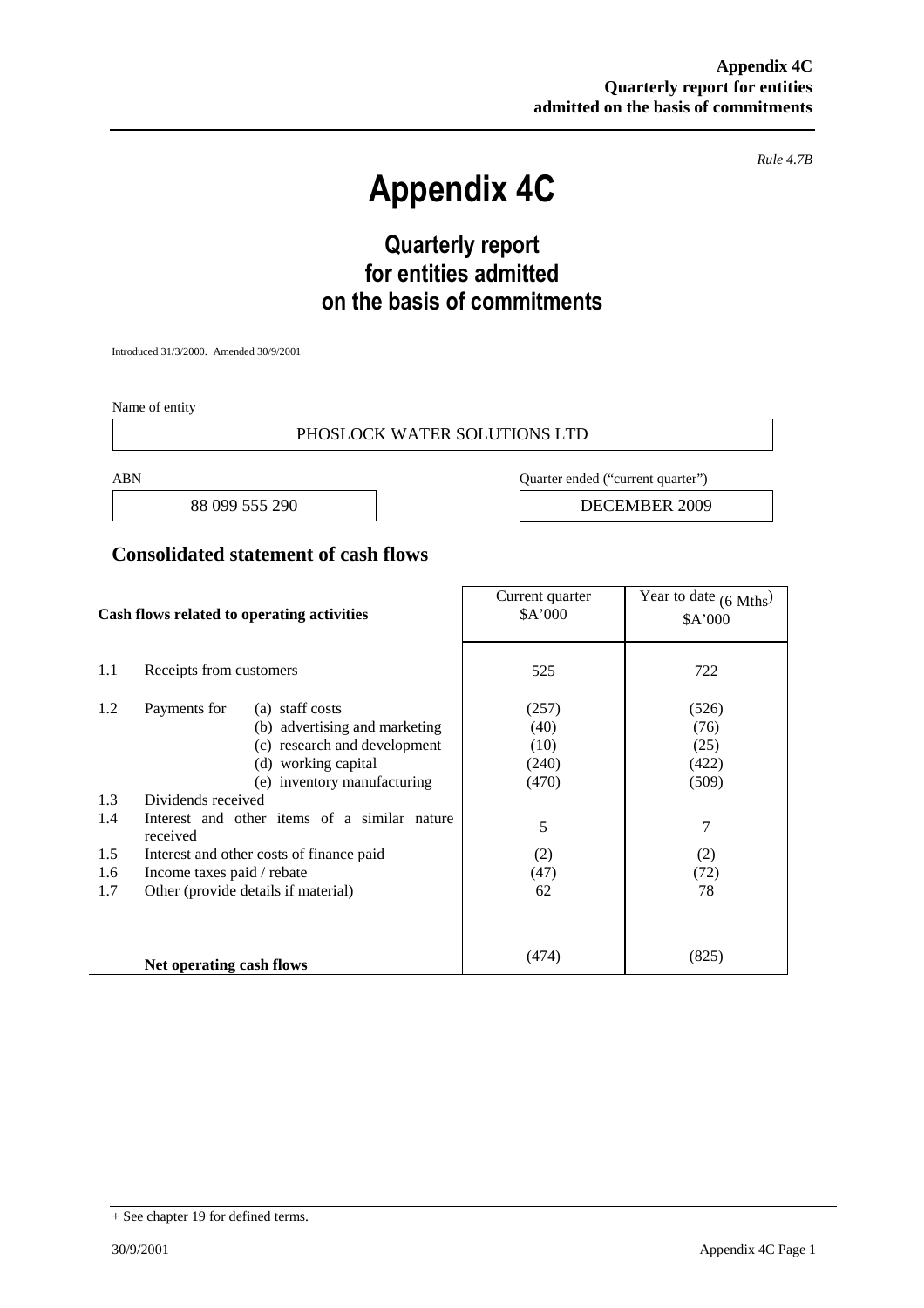*Rule 4.7B*

# **Appendix 4C**

# **Quarterly report for entities admitted on the basis of commitments**

Introduced 31/3/2000. Amended 30/9/2001

Name of entity

#### PHOSLOCK WATER SOLUTIONS LTD

ABN Quarter ended ("current quarter")

88 099 555 290 | DECEMBER 2009

#### **Consolidated statement of cash flows**

| Cash flows related to operating activities |                                                          | Current quarter<br>\$A'000 | Year to date $(6 \text{ Mths})$<br>\$A'000 |
|--------------------------------------------|----------------------------------------------------------|----------------------------|--------------------------------------------|
| 1.1                                        | Receipts from customers                                  | 525                        | 722                                        |
| 1.2                                        | Payments for<br>(a) staff costs                          | (257)                      | (526)                                      |
|                                            | (b) advertising and marketing                            | (40)                       | (76)                                       |
|                                            | (c) research and development                             | (10)                       | (25)                                       |
|                                            | (d) working capital                                      | (240)                      | (422)                                      |
|                                            | (e) inventory manufacturing                              | (470)                      | (509)                                      |
| 1.3                                        | Dividends received                                       |                            |                                            |
| 1.4                                        | Interest and other items of a similar nature<br>received | 5                          | 7                                          |
| 1.5                                        | Interest and other costs of finance paid                 | (2)                        | (2)                                        |
| 1.6                                        | Income taxes paid / rebate                               | (47)                       | (72)                                       |
| 1.7                                        | Other (provide details if material)                      | 62                         | 78                                         |
|                                            |                                                          |                            |                                            |
|                                            | Net operating cash flows                                 | (474)                      | (825)                                      |

<sup>+</sup> See chapter 19 for defined terms.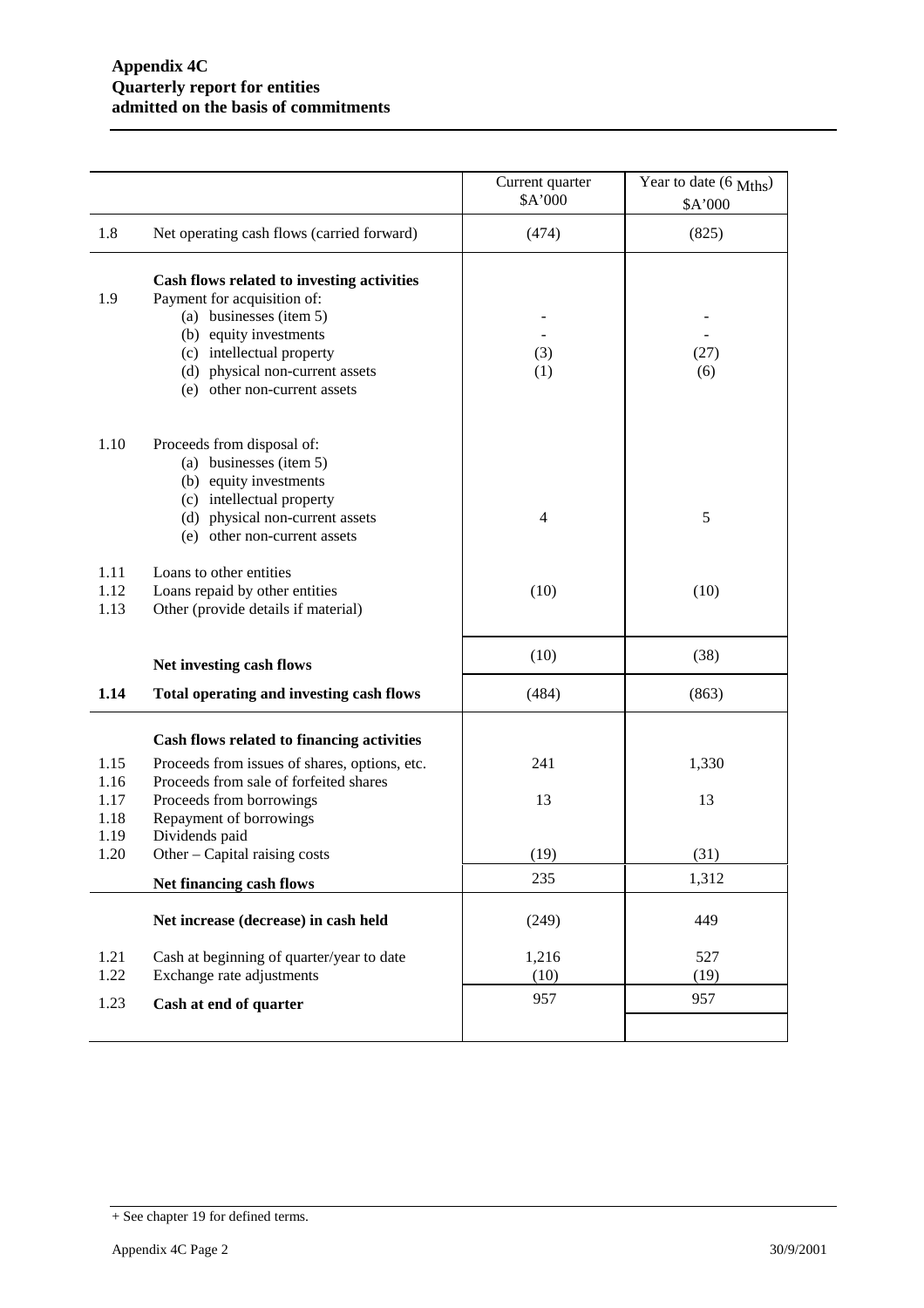|                                      |                                                                                                                                                                                                                                | Current quarter<br>\$A'000 | Year to date (6 Mths)<br>\$A'000 |
|--------------------------------------|--------------------------------------------------------------------------------------------------------------------------------------------------------------------------------------------------------------------------------|----------------------------|----------------------------------|
| 1.8                                  | Net operating cash flows (carried forward)                                                                                                                                                                                     | (474)                      | (825)                            |
| 1.9                                  | Cash flows related to investing activities<br>Payment for acquisition of:<br>(a) businesses (item 5)<br>(b) equity investments<br>(c) intellectual property<br>(d) physical non-current assets<br>(e) other non-current assets | (3)<br>(1)                 | (27)<br>(6)                      |
| 1.10                                 | Proceeds from disposal of:<br>(a) businesses (item 5)<br>(b) equity investments<br>(c) intellectual property<br>(d) physical non-current assets<br>(e) other non-current assets                                                | $\overline{\mathcal{A}}$   | 5                                |
| 1.11<br>1.12<br>1.13                 | Loans to other entities<br>Loans repaid by other entities<br>Other (provide details if material)                                                                                                                               | (10)                       | (10)                             |
|                                      | Net investing cash flows                                                                                                                                                                                                       | (10)                       | (38)                             |
| 1.14                                 | Total operating and investing cash flows                                                                                                                                                                                       | (484)                      | (863)                            |
| 1.15<br>1.16<br>1.17<br>1.18<br>1.19 | Cash flows related to financing activities<br>Proceeds from issues of shares, options, etc.<br>Proceeds from sale of forfeited shares<br>Proceeds from borrowings<br>Repayment of borrowings<br>Dividends paid                 | 241<br>13                  | 1,330<br>13                      |
| 1.20                                 | Other - Capital raising costs                                                                                                                                                                                                  | (19)                       | (31)                             |
|                                      | Net financing cash flows                                                                                                                                                                                                       | 235                        | 1,312                            |
|                                      | Net increase (decrease) in cash held                                                                                                                                                                                           | (249)                      | 449                              |
| 1.21                                 | Cash at beginning of quarter/year to date                                                                                                                                                                                      | 1,216                      | 527                              |
| 1.22<br>1.23                         | Exchange rate adjustments<br>Cash at end of quarter                                                                                                                                                                            | (10)<br>957                | (19)<br>957                      |
|                                      |                                                                                                                                                                                                                                |                            |                                  |

<sup>+</sup> See chapter 19 for defined terms.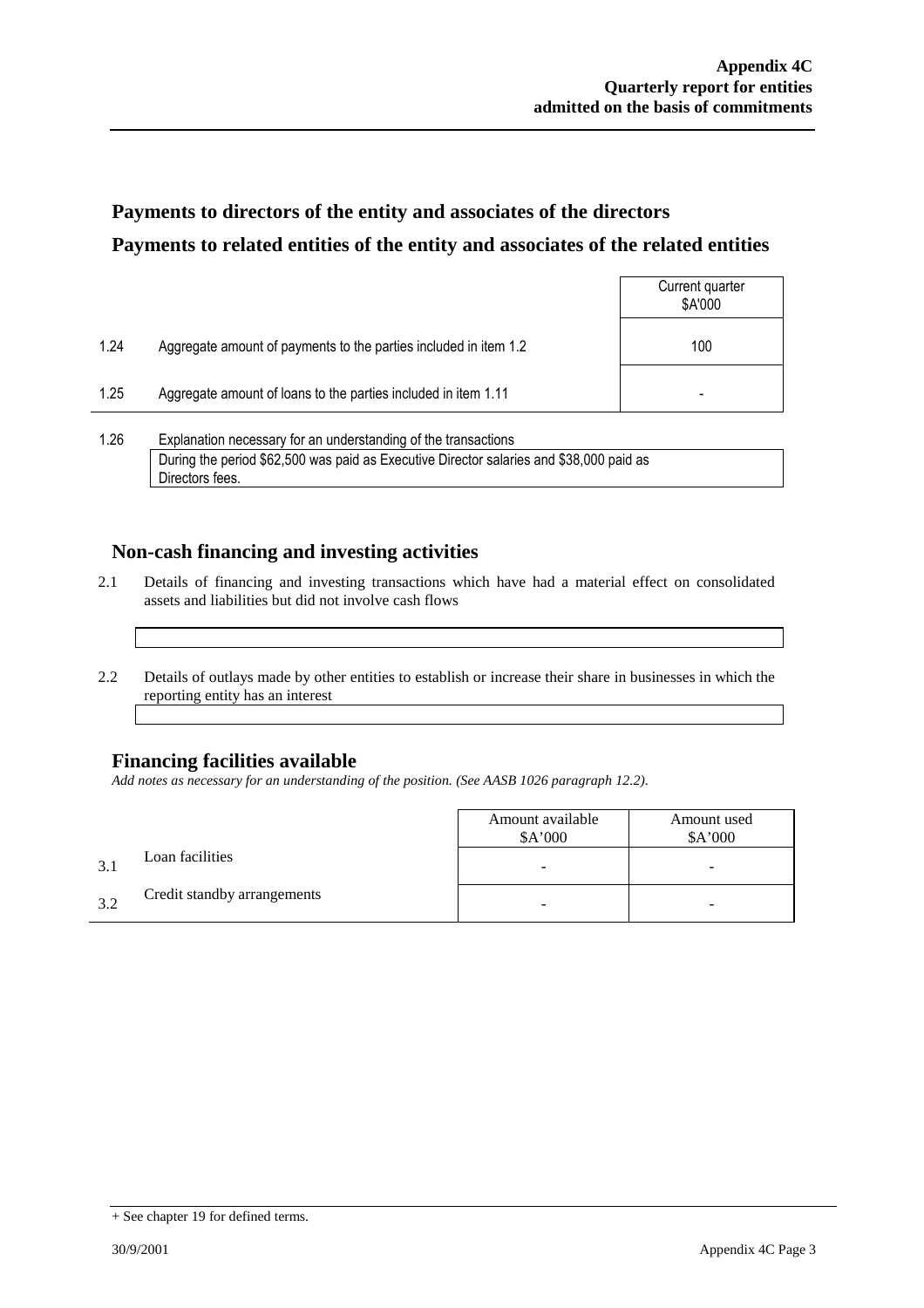## **Payments to directors of the entity and associates of the directors Payments to related entities of the entity and associates of the related entities**

|                |                                                                  | Current quarter<br>\$A'000 |
|----------------|------------------------------------------------------------------|----------------------------|
| 1.24           | Aggregate amount of payments to the parties included in item 1.2 | 100                        |
| 1.25           | Aggregate amount of loans to the parties included in item 1.11   | -                          |
| $\overline{1}$ | .<br>.                                                           |                            |

1.26 Explanation necessary for an understanding of the transactions During the period \$62,500 was paid as Executive Director salaries and \$38,000 paid as Directors fees.

### **Non-cash financing and investing activities**

- 2.1 Details of financing and investing transactions which have had a material effect on consolidated assets and liabilities but did not involve cash flows
- 2.2 Details of outlays made by other entities to establish or increase their share in businesses in which the reporting entity has an interest

### **Financing facilities available**

*Add notes as necessary for an understanding of the position. (See AASB 1026 paragraph 12.2).*

|              |                             | Amount available<br>\$A'000 | Amount used<br>\$A'000 |
|--------------|-----------------------------|-----------------------------|------------------------|
| $\mathbf{R}$ | Loan facilities             | -                           | -                      |
| 32           | Credit standby arrangements |                             | -                      |

<sup>+</sup> See chapter 19 for defined terms.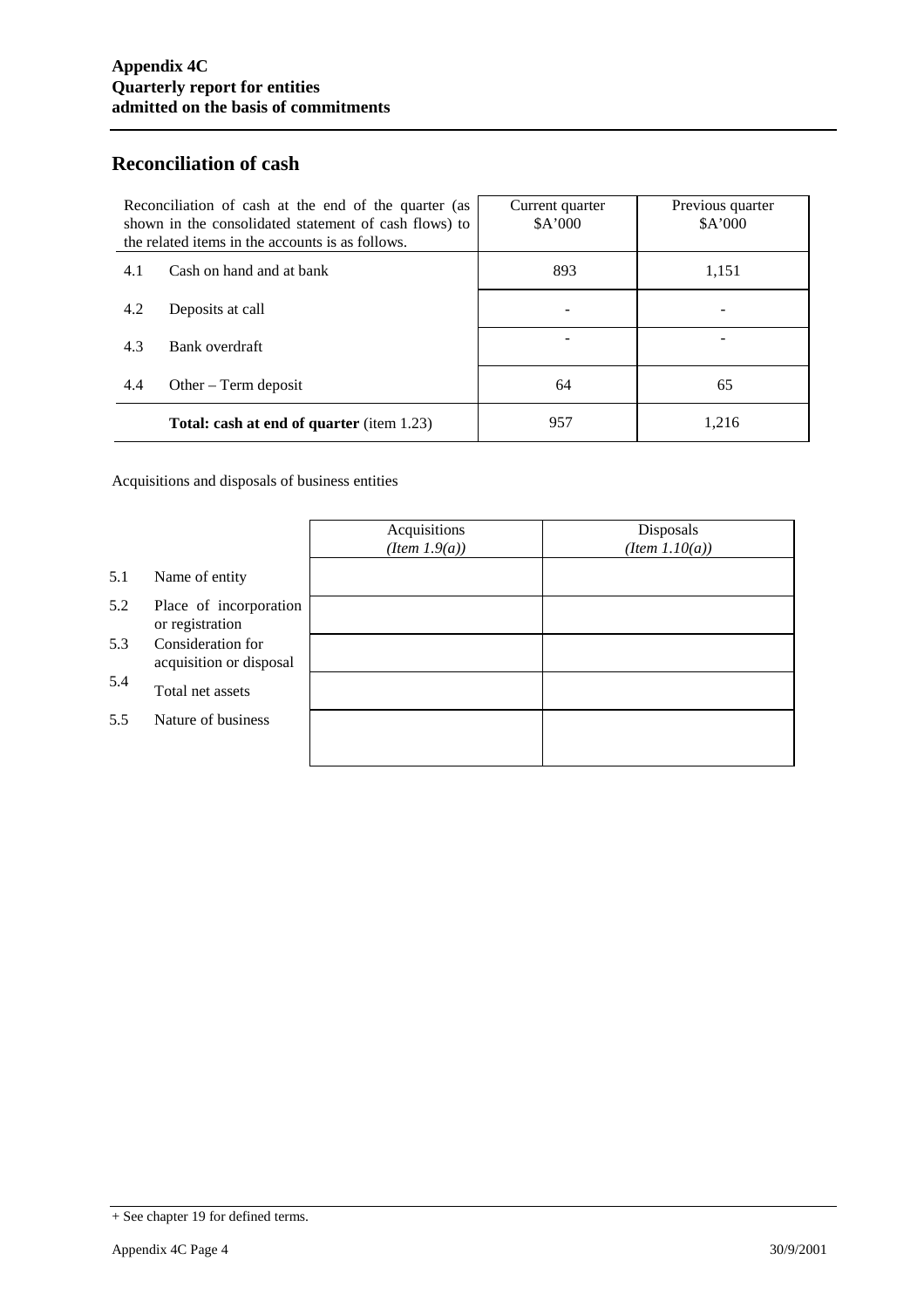### **Reconciliation of cash**

| Reconciliation of cash at the end of the quarter (as<br>shown in the consolidated statement of cash flows) to<br>the related items in the accounts is as follows. |                                                  | Current quarter<br>\$A'000 | Previous quarter<br>\$A'000 |
|-------------------------------------------------------------------------------------------------------------------------------------------------------------------|--------------------------------------------------|----------------------------|-----------------------------|
| 4.1                                                                                                                                                               | Cash on hand and at bank                         | 893                        | 1,151                       |
| 4.2                                                                                                                                                               | Deposits at call                                 |                            |                             |
| 4.3                                                                                                                                                               | Bank overdraft                                   |                            |                             |
| 4.4                                                                                                                                                               | Other $-$ Term deposit                           | 64                         | 65                          |
|                                                                                                                                                                   | <b>Total: cash at end of quarter</b> (item 1.23) | 957                        | 1,216                       |

Acquisitions and disposals of business entities

|     |                                              | Acquisitions<br>$(Item\ 1.9(a))$ | Disposals<br>$(Item\ 1.10(a))$ |
|-----|----------------------------------------------|----------------------------------|--------------------------------|
| 5.1 | Name of entity                               |                                  |                                |
| 5.2 | Place of incorporation<br>or registration    |                                  |                                |
| 5.3 | Consideration for<br>acquisition or disposal |                                  |                                |
| 5.4 | Total net assets                             |                                  |                                |
| 5.5 | Nature of business                           |                                  |                                |
|     |                                              |                                  |                                |

<sup>+</sup> See chapter 19 for defined terms.